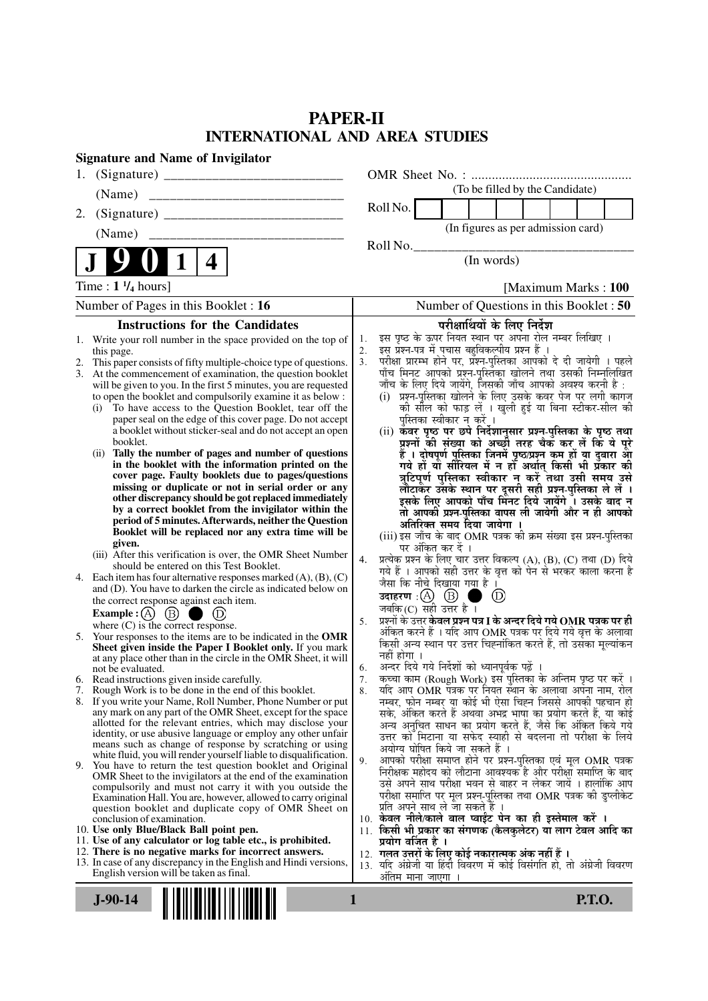# **PAPER-II INTERNATIONAL AND AREA STUDIES**

| <b>Signature and Name of Invigilator</b>                                                                                      |                                                                                                                                      |
|-------------------------------------------------------------------------------------------------------------------------------|--------------------------------------------------------------------------------------------------------------------------------------|
| 1.                                                                                                                            |                                                                                                                                      |
| (Name)                                                                                                                        | (To be filled by the Candidate)                                                                                                      |
| 2.                                                                                                                            | Roll No.                                                                                                                             |
|                                                                                                                               | (In figures as per admission card)                                                                                                   |
|                                                                                                                               | Roll No.                                                                                                                             |
| $\vert 1 \vert$<br>4                                                                                                          | (In words)                                                                                                                           |
| Time : $1 \frac{1}{4}$ hours]                                                                                                 | [Maximum Marks: 100]                                                                                                                 |
| Number of Pages in this Booklet : 16                                                                                          | Number of Questions in this Booklet : 50                                                                                             |
| <b>Instructions for the Candidates</b>                                                                                        | परीक्षार्थियों के लिए निर्देश                                                                                                        |
| Write your roll number in the space provided on the top of<br>1.                                                              | इस पृष्ठ के ऊपर नियत स्थान पर अपना रोल नम्बर लिखिए ।<br>1.<br>इस प्रश्न-पत्र में पचास बहुविकल्पीय प्रश्न हैं ।<br>2.                 |
| this page.<br>This paper consists of fifty multiple-choice type of questions.<br>2.                                           | परीक्षा प्रारम्भ होने पर, प्रश्न-पुस्तिका आपको दे दी जायेगी । पहले<br>3.                                                             |
| At the commencement of examination, the question booklet<br>3.                                                                | पाँच मिनट आपको प्रश्न-पुस्तिका खोलने तथा उसकी निम्नलिखित<br>जाँच के लिए दिये जायेंगे, जिसकी जाँच आपको अवश्य करनी है :                |
| will be given to you. In the first 5 minutes, you are requested<br>to open the booklet and compulsorily examine it as below : | (i) प्रश्न-पुस्तिका खोलने के लिए उसके कवर पेज पर लगी कागज                                                                            |
| To have access to the Question Booklet, tear off the<br>(i)                                                                   | की सौल को फाड़ लें । खुली हुई या बिना स्टीकर-सील की                                                                                  |
| paper seal on the edge of this cover page. Do not accept<br>a booklet without sticker-seal and do not accept an open          | पुस्तिका स्वीकार न करें ।<br>(ii) कवर पृष्ठ पर छपे निर्देशानुसार प्रश्न-पुस्तिका के पृष्ठ तथा                                        |
| booklet.                                                                                                                      | प्रश्नों की संख्या को अच्छी तरह चैक कर लें कि ये पूरे                                                                                |
| (ii) Tally the number of pages and number of questions<br>in the booklet with the information printed on the                  | हैं । दोषपूर्ण पुस्तिका जिनमें पृष्ठ/प्रश्न कम हों या दुबारा आ<br>गये हों या सीरियल में न हो अर्थात् किसी भी प्रकार की               |
| cover page. Faulty booklets due to pages/questions                                                                            | त्रुटिपूर्ण पुस्तिका स्वीकार न करें तथा उसी समय उसे                                                                                  |
| missing or duplicate or not in serial order or any                                                                            | लौटाकर उसके स्थान पर दूसरी सही प्रश्न-पुस्तिका ले लें ।                                                                              |
| other discrepancy should be got replaced immediately<br>by a correct booklet from the invigilator within the                  | इसके लिए आपको पाँच मिनट दिये जायेंगे ँ। उसके बाद न<br>तो आपकी प्रश्न-पुस्तिका वापस ली जायेगी और न ही आपको                            |
| period of 5 minutes. Afterwards, neither the Question                                                                         | अतिरिक्त समय दिया जायेगा ।                                                                                                           |
| Booklet will be replaced nor any extra time will be<br>given.                                                                 | (iii) इस जाँच के बाद OMR पत्रक की क्रम संख्या इस प्रश्न-पुस्तिका                                                                     |
| (iii) After this verification is over, the OMR Sheet Number                                                                   | पर अंकित कर दें ।<br>प्रत्येक प्रश्न के लिए चार उत्तर विकल्प (A), (B), (C) तथा (D) दिये<br>4.                                        |
| should be entered on this Test Booklet.<br>4. Each item has four alternative responses marked (A), (B), (C)                   | गये हैं । आपको सही उत्तर के वृत्त को पेन से भरकर काला करना है                                                                        |
| and (D). You have to darken the circle as indicated below on                                                                  | जैसा कि नीचे दिखाया गया है ।<br>उदाहरण : (A) (B) ।                                                                                   |
| the correct response against each item.                                                                                       | $\circledcirc$<br>जबकि(C) सही उत्तर है ।                                                                                             |
| Example : (A) $(B)$<br>where $(C)$ is the correct response.                                                                   | प्रश्नों के उत्तर केवल प्रश्न पत्र I के अन्दर दिये गये $\bf OMR$ पत्रक पर ही<br>5.                                                   |
| 5. Your responses to the items are to be indicated in the OMR                                                                 | अंकित करने हैं । यदि आप OMR पत्रक पर दिये गये वृत्त के अलावा<br>किसी अन्य स्थान पर उत्तर चिह्नांकित करते हैं, तो उसका मूल्यांकन      |
| Sheet given inside the Paper I Booklet only. If you mark<br>at any place other than in the circle in the OMR Sheet, it will   | नहीं होगा ।                                                                                                                          |
| not be evaluated.                                                                                                             | अन्दर दिये गये निर्देशों को ध्यानपूर्वक पढ़ें<br>6.                                                                                  |
| 6. Read instructions given inside carefully.<br>7. Rough Work is to be done in the end of this booklet.                       | कृत्वा काम (Rough Work) इस पुस्तिका के अन्तिम पृष्ठ पर करें ।<br>7.<br>र्याद आप OMR पत्रक पर नियत स्थान के अलावा अपना नाम, रोल<br>8. |
| 8. If you write your Name, Roll Number, Phone Number or put                                                                   | नम्बर, फोन नम्बर या कोई भी ऐसा चिह्न जिससे आपकी पहचान हो                                                                             |
| any mark on any part of the OMR Sheet, except for the space<br>allotted for the relevant entries, which may disclose your     | सके, अंकित करते हैं अथवा अभद्र भाषा का प्रयोग करते हैं, या कोई<br>अन्य अनुचित साधन का प्रयोग करते हैं, जैसे कि अंकित किये गये        |
| identity, or use abusive language or employ any other unfair                                                                  | उत्तर को मिटाना या सफेद स्याही से बदलना तो परीक्षा के लिये                                                                           |
| means such as change of response by scratching or using<br>white fluid, you will render yourself liable to disqualification.  | अयोग्य घोषित किये जा सकते हैं ।                                                                                                      |
| 9. You have to return the test question booklet and Original                                                                  | आपको परीक्षा समाप्त होने पर प्रश्न-पुस्तिका एवं मूल OMR पत्रक<br>9.<br>निरीक्षक महोदय को लौटाना आवश्यक है और परीक्षा समाप्ति के बाद  |
| OMR Sheet to the invigilators at the end of the examination<br>compulsorily and must not carry it with you outside the        | उसे अपने साथ परीक्षा भवन से बाहर न लेकर जायें । हालांकि आप                                                                           |
| Examination Hall. You are, however, allowed to carry original                                                                 | परीक्षा समाप्ति पर मूल प्रश्न-पुस्तिका तथा OMR पत्रक की डुप्लीकेट<br>प्रति अपने साथ ले जा सकते है ।                                  |
| question booklet and duplicate copy of OMR Sheet on<br>conclusion of examination.                                             | 10. केवल नीले/काले बाल प्वाईंट पेन का ही इस्तेमाल करें ।                                                                             |
| 10. Use only Blue/Black Ball point pen.<br>11. Use of any calculator or log table etc., is prohibited.                        | 11. किसी भी प्रकार का संगणक (कैलकुलेटर) या लाग टेबल आदि का<br>प्रयोग वर्जित है ।                                                     |
| 12. There is no negative marks for incorrect answers.                                                                         | 12. गलत उत्तरों के लिए कोई नकारात्मक अंक नहीं हैं ।                                                                                  |
| 13. In case of any discrepancy in the English and Hindi versions,<br>English version will be taken as final.                  | 13. यदि अंग्रेजी या हिंदी विवरण में कोई विसंगति हो, तो अंग्रेजी विवरण                                                                |
|                                                                                                                               | अतिम माना जाएगा ।                                                                                                                    |
| $J-90-14$                                                                                                                     | <b>P.T.O.</b><br>1                                                                                                                   |
|                                                                                                                               |                                                                                                                                      |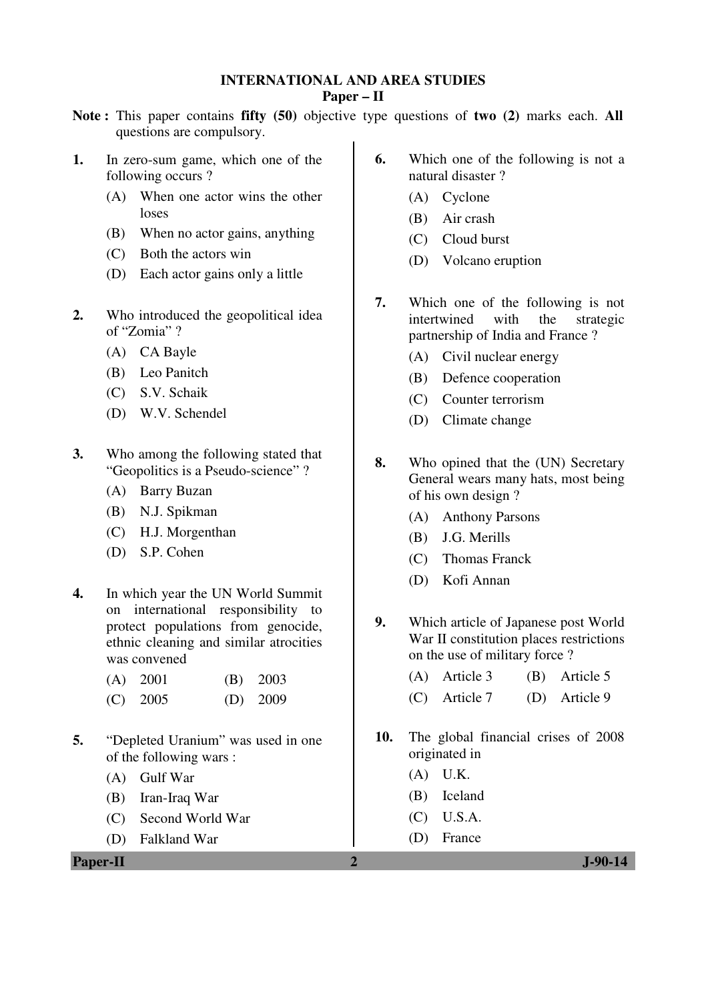#### **INTERNATIONAL AND AREA STUDIES Paper – II**

- **Note :** This paper contains **fifty (50)** objective type questions of **two (2)** marks each. **All** questions are compulsory.
- **1.** In zero-sum game, which one of the following occurs ?
	- (A) When one actor wins the other loses
	- (B) When no actor gains, anything
	- (C) Both the actors win
	- (D) Each actor gains only a little
- **2.** Who introduced the geopolitical idea of "Zomia" ?
	- (A) CA Bayle
	- (B) Leo Panitch
	- (C) S.V. Schaik
	- (D) W.V. Schendel
- **3.** Who among the following stated that "Geopolitics is a Pseudo-science" ?
	- (A) Barry Buzan
	- (B) N.J. Spikman
	- (C) H.J. Morgenthan
	- (D) S.P. Cohen
- **4.** In which year the UN World Summit on international responsibility to protect populations from genocide, ethnic cleaning and similar atrocities was convened

| $(A)$ 2001 | $(B)$ 2003 |
|------------|------------|
| $(C)$ 2005 | $(D)$ 2009 |

- **5.** "Depleted Uranium" was used in one of the following wars :
	- (A) Gulf War
	- (B) Iran-Iraq War
	- (C) Second World War
	- (D) Falkland War
- **6.** Which one of the following is not a natural disaster ?
	- (A) Cyclone
	- (B) Air crash
	- (C) Cloud burst
	- (D) Volcano eruption
- **7.** Which one of the following is not intertwined with the strategic partnership of India and France ?
	- (A) Civil nuclear energy
	- (B) Defence cooperation
	- (C) Counter terrorism
	- (D) Climate change
- **8.** Who opined that the (UN) Secretary General wears many hats, most being of his own design ?
	- (A) Anthony Parsons
	- (B) J.G. Merills
	- (C) Thomas Franck
	- (D) Kofi Annan
- **9.** Which article of Japanese post World War II constitution places restrictions on the use of military force ?
	- (A) Article 3 (B) Article 5
	- (C) Article 7 (D) Article 9
- **10.** The global financial crises of 2008 originated in
	- (A) U.K.
	- (B) Iceland
	- (C) U.S.A.
	- (D) France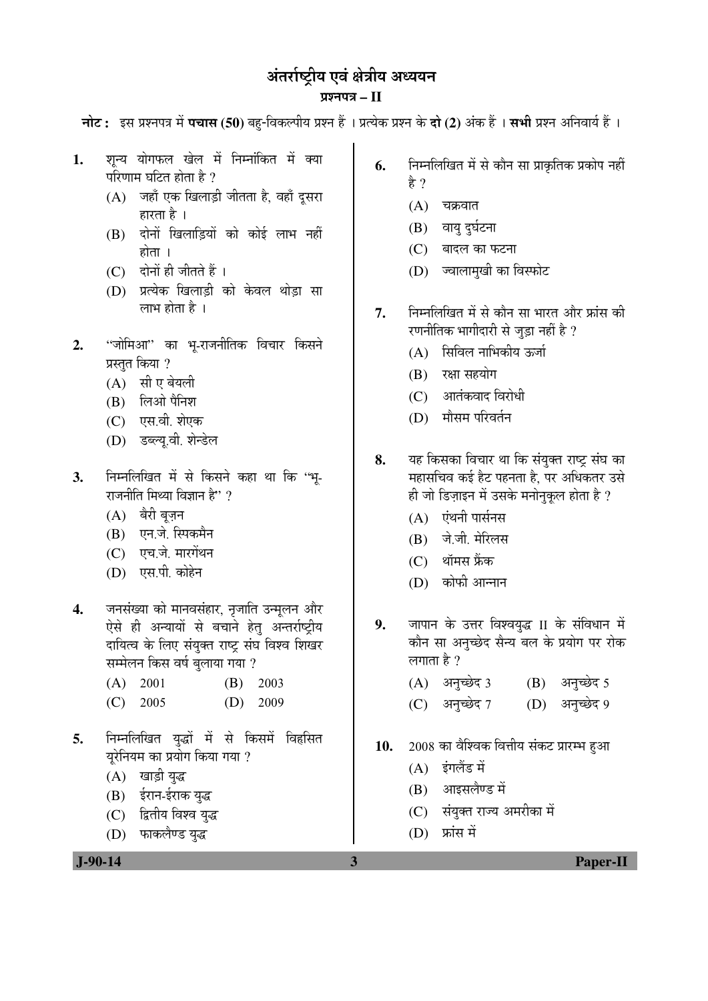## अंतर्राष्ट्रीय एवं क्षेत्रीय अध्ययन ¯ÖÏ¿®Ö¯Ö¡Ö **– II**

**नोट:** इस प्रश्नपत्र में **पचास (50)** बहु-विकल्पीय प्रश्न हैं । प्रत्येक प्रश्न के **दो (2)** अंक हैं । **सभी** प्रश्न अनिवार्य हैं ।

- 1. शन्य योगफल खेल में निम्नांकित में क्या परिणाम घटित होता है ?
	- $(A)$  •जहाँ एक खिलाड़ी जीतता है, वहाँ दूसरा हारता है $\perp$
	- (B) दोनों खिलाडियों को कोई लाभ नहीं होता $\perp$
	- $(C)$  दोनों ही जीतते हैं।
	- (D) प्रत्येक खिलाड़ी को केवल थोड़ा सा लाभ होता है $\perp$
- 2. "जोमिआ" का भू-राजनीतिक विचार किसने प्रस्तत किया ?
	- $(A)$  सी ए बेयली
	- $(B)$  लिओ पैनिश
	- (C) एस.वी. शेएक
	- (D) डब्ल्यू.वी. शेन्डेल
- 3. निम्नलिखित में से किसने कहा था कि ''भ-राजनीति मिथ्या विज्ञान है" ?
	- $(A)$  बैरी बज़न
	- (B) एन.जे. स्पिकमैन
	- (C) एच.जे. मारगेंथन
	- (D) एस.पी. कोहेन
- 4. जनसंख्या को मानवसंहार, नृजाति उन्मूलन और ऐसे ही अन्यायों से बचाने हेत् अन्तर्राष्ट्रीय दायित्व के लिए संयुक्त राष्ट्र संघ विश्व शिखर सम्मेलन किस वर्ष बुलाया गया ?
	- (A) 2001 (B) 2003
	- (C) 2005 (D) 2009
- 5. निम्नलिखित युद्धों में से किसमें विहसित यूरेनियम का प्रयोग किया गया ?
	- (A) खाड़ी युद्ध
	- (B) ईरान-ईराक युद्ध
	- (C) द्वितीय विश्व युद्ध
	- (D) फाकलैण्ड युद्ध
- **6.** निम्नलिखित में से कौन सा प्राकृतिक प्रकोप नहीं है ?
	- $(A)$  चक्रवात
	- (B) वायु दुर्घटना
	- $(C)$  बादल का फटना
	- (D) ज्वालामुखी का विस्फोट
- 7. निम्नलिखित में से कौन सा भारत और फ्रांस की रणनीतिक भागीदारी से जुड़ा नहीं है ?
	- (A) सिविल नाभिकीय ऊर्जा
	- $(B)$  रक्षा सहयोग
	- (C) आतंकवाद विरोधी
	- (D) मौसम परिवर्तन
- 8. यह किसका विचार था कि संयुक्त राष्ट्र संघ का महासचिव कई हैट पहनता है. पर अधिकतर उसे ही जो डिज़ाइन में उसके मनोनकल होता है ?
	- $(A)$  एंथनी पार्सनस
	- (B) जे.जी. मेरिलस
	- $(C)$  थॉमस फ्रैंक
	- (D) कोफी आन्नान
- 9. जापान के उत्तर विश्वयुद्ध II के संविधान में कौन सा अनुच्छेद सैन्य बल के प्रयोग पर रोक लगाता है  $?$ 
	- $(A)$  अनुच्छेद 3  $(B)$  अनुच्छेद 5
	- (C) अनुच्छेद 7 (D) अनुच्छेद 9
- 10. 2008 का वैश्विक वित्तीय संकट प्रारम्भ हुआ
	- $(A)$  इंगलैंड में
	- (B) आइसलैण्ड में
	- (C) संयुक्त राज्य अमरीका में
	- $(D)$  फ्रांस में

 **J-90-14 3 Paper-II**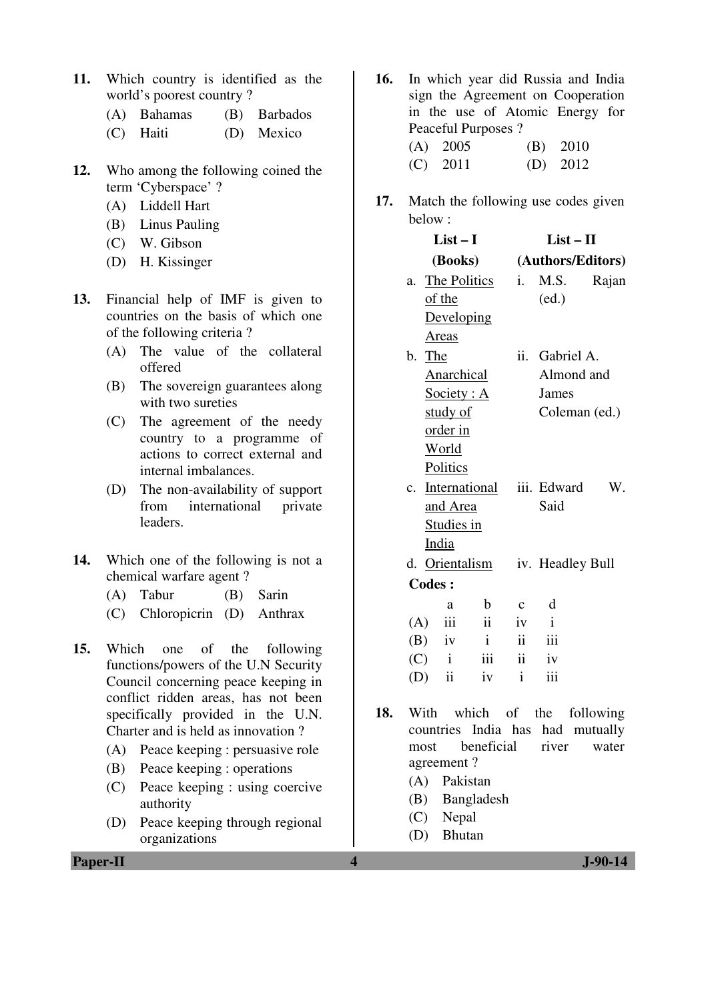- **11.** Which country is identified as the world's poorest country ?
	- (A) Bahamas (B) Barbados
	- (C) Haiti (D) Mexico
- **12.** Who among the following coined the term 'Cyberspace' ?
	- (A) Liddell Hart
	- (B) Linus Pauling
	- (C) W. Gibson
	- (D) H. Kissinger
- **13.** Financial help of IMF is given to countries on the basis of which one of the following criteria ?
	- (A) The value of the collateral offered
	- (B) The sovereign guarantees along with two sureties
	- (C) The agreement of the needy country to a programme of actions to correct external and internal imbalances.
	- (D) The non-availability of support from international private leaders.
- **14.** Which one of the following is not a chemical warfare agent ?
	- (A) Tabur (B) Sarin
	- (C) Chloropicrin (D) Anthrax
- **15.** Which one of the following functions/powers of the U.N Security Council concerning peace keeping in conflict ridden areas, has not been specifically provided in the U.N. Charter and is held as innovation ?
	- (A) Peace keeping : persuasive role
	- (B) Peace keeping : operations
	- (C) Peace keeping : using coercive authority
	- (D) Peace keeping through regional organizations
- **16.** In which year did Russia and India sign the Agreement on Cooperation in the use of Atomic Energy for Peaceful Purposes ? (A) 2005 (B) 2010 (C) 2011 (D) 2012
- **17.** Match the following use codes given below :

|               | $List-I$          |                     | $List - II$  |                   |       |  |
|---------------|-------------------|---------------------|--------------|-------------------|-------|--|
|               | (Books)           |                     |              | (Authors/Editors) |       |  |
|               | a. The Politics   |                     | i.           | M.S.              | Rajan |  |
| of the        |                   |                     |              | (ed.)             |       |  |
|               | Developing        |                     |              |                   |       |  |
| <b>Areas</b>  |                   |                     |              |                   |       |  |
| b. The        |                   |                     |              | ii. Gabriel A.    |       |  |
|               | <b>Anarchical</b> |                     |              | Almond and        |       |  |
|               | Society: A        |                     |              | James             |       |  |
|               | study of          |                     |              | Coleman (ed.)     |       |  |
|               | order in          |                     |              |                   |       |  |
|               | <u>World</u>      |                     |              |                   |       |  |
|               | <b>Politics</b>   |                     |              |                   |       |  |
|               |                   | c. International    |              | iii. Edward       | W.    |  |
|               | and Area          |                     |              | Said              |       |  |
|               | <b>Studies in</b> |                     |              |                   |       |  |
| <u>India</u>  |                   |                     |              |                   |       |  |
|               | d. Orientalism    |                     |              | iv. Headley Bull  |       |  |
| <b>Codes:</b> |                   |                     |              |                   |       |  |
|               | a                 | $\mathbf b$         | $\mathbf c$  | d                 |       |  |
| (A)           | iii               | $\mathbf{ii}$       | iv           | $\mathbf{i}$      |       |  |
| $(B)$ iv      |                   | $\mathbf{i}$        | ii           | iii               |       |  |
| $(C)$ i       |                   | $\overline{\ }$ iii | $\ddot{i}$   | iv                |       |  |
| (D)           | $\ddot{\rm n}$    | iv                  | $\mathbf{i}$ | iii               |       |  |
|               |                   |                     |              |                   |       |  |

- **18.** With which of the following countries India has had mutually most beneficial river water agreement ?
	- (A) Pakistan
	- (B) Bangladesh
	- (C) Nepal
	- (D) Bhutan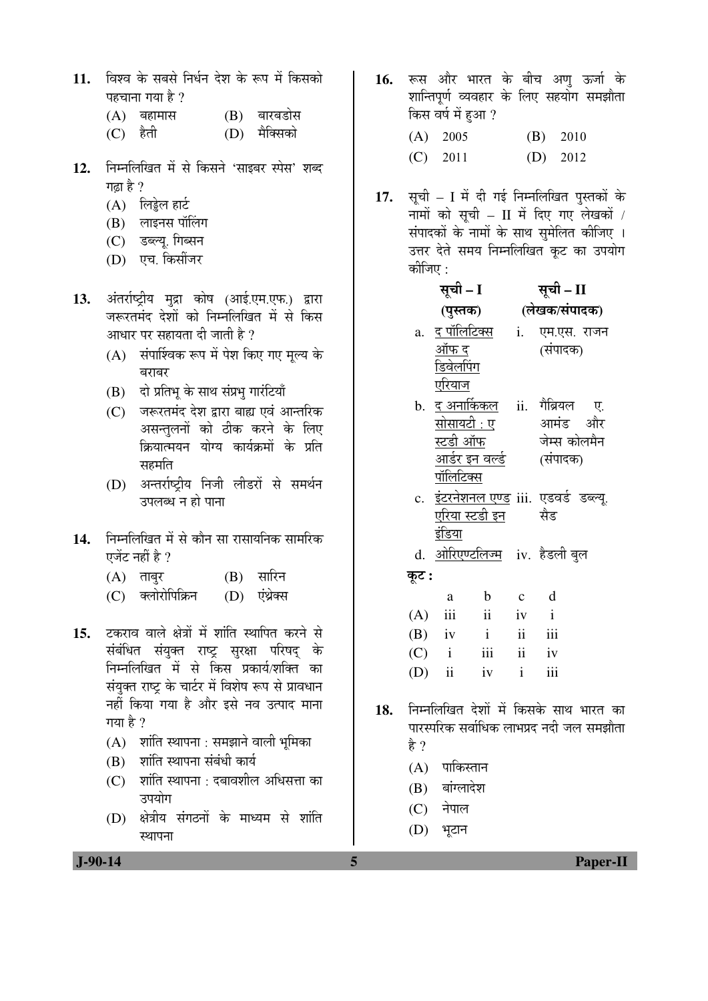- 11. विश्व के सबसे निर्धन देश के रूप में किसको पहचाना गया है ?
	- (A) बहामास (B) बारबडोस
	- (C) हैती (D) मैक्सिको
- 12. निम्नलिखित में से किसने 'साइबर स्पेस' शब्द गढा है ?
	- $(A)$  लिड्डेल हार्ट
	- $(B)$  लाइनस पॉलिंग
	- (C) डब्ल्यू. गिब्सन
	- (D) एच. किसींजर
- 13. अंतर्राष्ट्रीय मुद्रा कोष (आई.एम.एफ.) द्वारा जरूरतमंद देशों को निम्नलिखित में से किस आधार पर सहायता दी जाती है ?
	- (A) संपार्श्विक रूप में पेश किए गए मूल्य के बराबर
	- (B) दो प्रतिभू के साथ संप्रभू गारंटियाँ
	- (C) जरूरतमंद देश द्वारा बाह्य एवं आन्तरिक असन्तुलनों को ठीक करने के लिए क्रियात्मयन योग्य कार्यक्रमों के प्रति स्रहमति
	- (D) अन्तर्राष्ट्रीय निजी लीडरों से समर्थन उपलब्ध न हो पाना
- 14. निम्नलिखित में से कौन सा रासायनिक सामरिक एजेंट नहीं है ?
	- $(A)$  ताबुर  $(B)$  सारिन
	- (C) क्लोरोपिक्रिन (D) एंथ्रेक्स
- 15. टकराव वाले क्षेत्रों में शांति स्थापित करने से संबंधित संयुक्त राष्ट्र सुरक्षा परिषद् के निम्नलिखित में से किस प्रकार्य/शक्ति का संयुक्त राष्ट्र के चार्टर में विशेष रूप से प्रावधान नहीं किया गया है और इसे नव उत्पाद माना गया है ?
	- $(A)$  शांति स्थापना : समझाने वाली भुमिका
	- (B) शांति स्थापना संबंधी कार्य
	- $(C)$  शांति स्थापना : दबावशील अधिसत्ता का उपयोग
	- (D) क्षेत्रीय संगठनों के माध्यम से शांति स्थापना
- 16. रूस और भारत के बीच अण ऊर्जा के शान्तिपूर्ण व्यवहार के लिए सहयोग समझौता किस वर्ष में हुआ ?
	- (A) 2005 (B) 2010 (C) 2011 (D) 2012
- 17. सूची I में दी गई निम्नलिखित पुस्तकों के नामों को सूची – II में दिए गए लेखकों / संपादकों के नामों के साथ समेलित कीजिए । उत्तर देते समय निम्नलिखित कूट का उपयोग कीजिए  $\cdot$

|       | सूची – I         |                           | सूची – II |                                               |  |  |
|-------|------------------|---------------------------|-----------|-----------------------------------------------|--|--|
|       |                  |                           |           | (पुस्तक) (लेखक/संपादक)                        |  |  |
|       |                  |                           |           | a. <u>द पॉलिटिक्स</u> i.    एम.एस. राजन       |  |  |
|       | ऑफ द             |                           |           | (संपादक)                                      |  |  |
|       | <u>डिवेलपिंग</u> |                           |           |                                               |  |  |
|       | <u>एरियाज</u>    |                           |           |                                               |  |  |
|       |                  |                           |           | b. <u>द अनार्किकल</u> ii. गैब्रियल ए.         |  |  |
|       |                  | <u>सोसायटी : ए</u>        |           | आमंड और                                       |  |  |
|       |                  | <u>स्टडी ऑफ</u>           |           | जेम्स कोलमैन                                  |  |  |
|       |                  | <u>आर्डर इन वर्ल्ड</u>    |           | (संपादक)                                      |  |  |
|       | <u>पॉलिटिक्स</u> |                           |           |                                               |  |  |
|       |                  |                           |           | c. <u>इंटरनेशनल एण्ड</u> iii. एडवर्ड डब्ल्यू. |  |  |
|       |                  | <u>एरिया स्टडी इन</u> सैड |           |                                               |  |  |
|       | इंडिया           |                           |           |                                               |  |  |
|       |                  |                           |           | d. <u>ओरिएण्टलिज्म</u> iv. हैडली बुल          |  |  |
| कूट : |                  |                           |           |                                               |  |  |
|       | a                | b c d                     |           |                                               |  |  |
|       | $(A)$ iii        | ii iv i                   |           |                                               |  |  |
|       | $(B)$ iv i       |                           |           | ii iii                                        |  |  |
|       |                  | $(C)$ i iii ii iv         |           |                                               |  |  |
|       |                  | (D) ii iv $i$             |           | iii                                           |  |  |
|       |                  |                           |           |                                               |  |  |

- 18. निम्नलिखित देशों में किसके साथ भारत का पारस्परिक सर्वाधिक लाभप्रद नदी जल समझौता हे ?
	- $(A)$  पाकिस्तान
	- $(B)$  बांग्लादेश
	- $(C)$  नेपाल
	- (D) भटान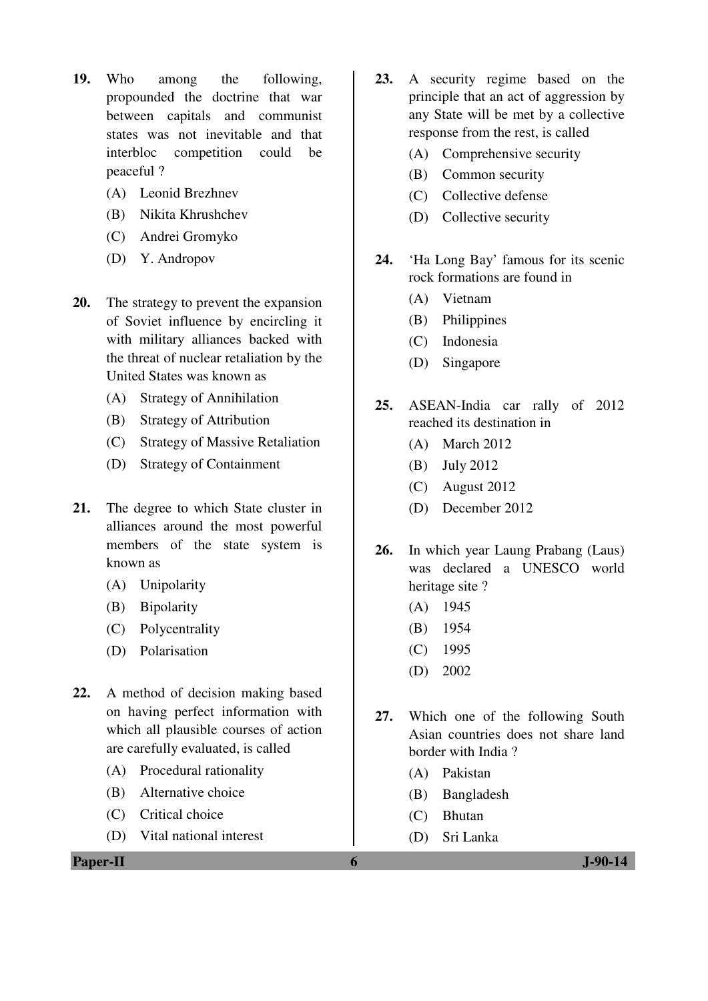- **19.** Who among the following, propounded the doctrine that war between capitals and communist states was not inevitable and that interbloc competition could be peaceful ?
	- (A) Leonid Brezhnev
	- (B) Nikita Khrushchev
	- (C) Andrei Gromyko
	- (D) Y. Andropov
- **20.** The strategy to prevent the expansion of Soviet influence by encircling it with military alliances backed with the threat of nuclear retaliation by the United States was known as
	- (A) Strategy of Annihilation
	- (B) Strategy of Attribution
	- (C) Strategy of Massive Retaliation
	- (D) Strategy of Containment
- **21.** The degree to which State cluster in alliances around the most powerful members of the state system is known as
	- (A) Unipolarity
	- (B) Bipolarity
	- (C) Polycentrality
	- (D) Polarisation
- **22.** A method of decision making based on having perfect information with which all plausible courses of action are carefully evaluated, is called
	- (A) Procedural rationality
	- (B) Alternative choice
	- (C) Critical choice
	- (D) Vital national interest

**Paper-II 6 J-90-14** 

- **23.** A security regime based on the principle that an act of aggression by any State will be met by a collective response from the rest, is called
	- (A) Comprehensive security
	- (B) Common security
	- (C) Collective defense
	- (D) Collective security
- **24.** 'Ha Long Bay' famous for its scenic rock formations are found in
	- (A) Vietnam
	- (B) Philippines
	- (C) Indonesia
	- (D) Singapore
- **25.** ASEAN-India car rally of 2012 reached its destination in
	- (A) March 2012
	- (B) July 2012
	- (C) August 2012
	- (D) December 2012
- **26.** In which year Laung Prabang (Laus) was declared a UNESCO world heritage site ?
	- (A) 1945
	- (B) 1954
	- (C) 1995
	- (D) 2002
- **27.** Which one of the following South Asian countries does not share land border with India ?
	- (A) Pakistan
	- (B) Bangladesh
	- (C) Bhutan
	- (D) Sri Lanka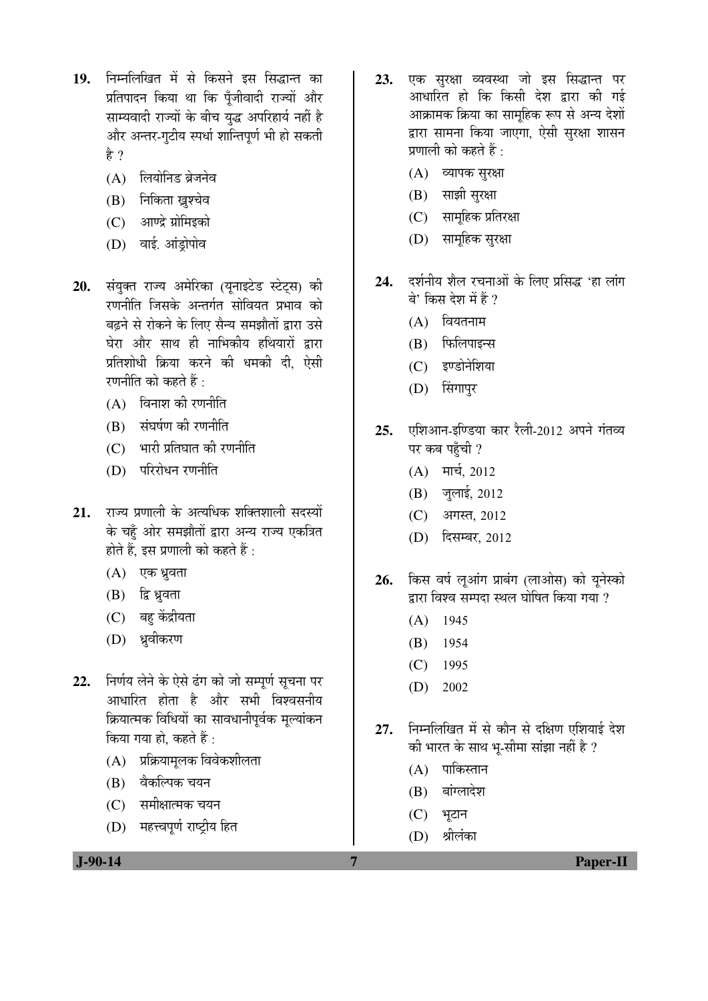- 19. निम्नलिखित में से किसने इस सिद्धान्त का प्रतिपादन किया था कि पँजीवादी राज्यों और साम्यवादी राज्यों के बीच युद्ध अपरिहार्य नहीं है और अन्तर-गुटीय स्पर्धा शान्तिपूर्ण भी हो सकती है $\gamma$ 
	- $(A)$  लियोनिड ब्रेजनेव
	- (B) निकिता ख्रश्चेव
	- (C) आण्द्रे ग्रोमिइको
	- (D) वाई. आंडोपोव
- 20. संयुक्त राज्य अमेरिका (यूनाइटेड स्टेट्स) की रणनीति जिसके अन्तर्गत सोवियत प्रभाव को बढने से रोकने के लिए सैन्य समझौतों द्वारा उसे घेरा और साथ ही नाभिकीय हथियारों द्वारा प्रतिशोधी क्रिया करने की धमकी दी, ऐसी रणनीति को कहते हैं :
	- $(A)$  विनाश की रणनीति
	- (B) संघर्षण की रणनीति
	- $(C)$  भारी प्रतिघात की रणनीति
	- $(D)$  परिरोधन रणनीति
- **21.** राज्य प्रणाली के अत्यधिक शक्तिशाली सदस्यों के चहँ ओर समझौतों द्वारा अन्य राज्य एकत्रित होते हैं, इस प्रणाली को कहते हैं :
	- (A) एक ध्रुवता
	- (B) द्वि ध्रुवता
	- (C) बहु केंद्रीयता
	- (D) ध्रुवीकरण
- 22. निर्णय लेने के ऐसे ढंग को जो सम्पूर्ण सूचना पर आधारित होता है और सभी विश्वसनीय क्रियात्मक विधियों का सावधानीपूर्वक मूल्यांकन किया गया हो, कहते हैं :
	- (A) प्रक्रियामलक विवेकशीलता
	- (B) वैकल्पिक चयन
	- (C) समीक्षात्मक चयन
	- (D) महत्त्वपर्ण राष्टीय हित

23. एक सरक्षा व्यवस्था जो इस सिद्धान्त पर आधारित हो कि किसी देश द्वारा की गई आक्रामक क्रिया का सामहिक रूप से अन्य देशों द्वारा सामना किया जाएगा, ऐसी सुरक्षा शासन प्रणाली को कहते हैं :

- (A) व्यापक सुरक्षा
- (B) साझी सुरक्षा
- $(C)$  सामहिक प्रतिरक्षा
- (D) सामूहिक सुरक्षा
- 24. दर्शनीय शैल रचनाओं के लिए प्रसिद्ध 'हा लांग बे' किस देश में हैं ?
	- $(A)$  वियतनाम
	- $(B)$  फिलिपाइन्स
	- (C) इण्डोनेशिया
	- (D) सिंगापुर
- 25. एशिआन-इण्डिया कार रैली-2012 अपने गंतव्य पर कब पहँची ?
	- $(A)$  मार्च, 2012
	- $(B)$  जुलाई, 2012
	- (C) अगस्त, 2012
	- (D) दिसम्बर, 2012
- 26. किस वर्ष लुआंग प्राबंग (लाओस) को युनेस्को द्वारा विश्व सम्पदा स्थल घोषित किया गया  $\overline{\eta}$ 
	- (A) 1945
	- (B) 1954
	- (C) 1995
	- (D) 2002
- 27. निम्नलिखित में से कौन से दक्षिण एशियाई देश की भारत के साथ भ-सीमा सांझा नहीं है ?
	- $(A)$  पाकिस्तान
	- (B) बांग्लादेश
	- $(C)$  भूटान
	- (D) श्रीलंका

 **J-90-14 7 Paper-II**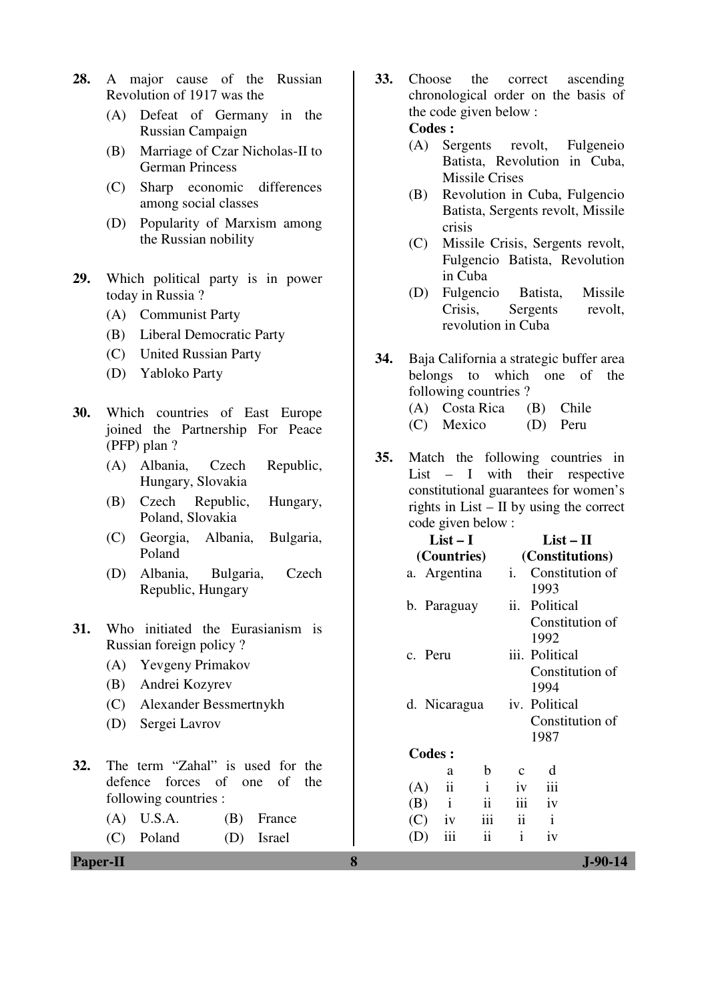- **28.** A major cause of the Russian Revolution of 1917 was the
	- (A) Defeat of Germany in the Russian Campaign
	- (B) Marriage of Czar Nicholas-II to German Princess
	- (C) Sharp economic differences among social classes
	- (D) Popularity of Marxism among the Russian nobility
- **29.** Which political party is in power today in Russia ?
	- (A) Communist Party
	- (B) Liberal Democratic Party
	- (C) United Russian Party
	- (D) Yabloko Party
- **30.** Which countries of East Europe joined the Partnership For Peace (PFP) plan ?
	- (A) Albania, Czech Republic, Hungary, Slovakia
	- (B) Czech Republic, Hungary, Poland, Slovakia
	- (C) Georgia, Albania, Bulgaria, Poland
	- (D) Albania, Bulgaria, Czech Republic, Hungary
- **31.** Who initiated the Eurasianism is Russian foreign policy ?
	- (A) Yevgeny Primakov
	- (B) Andrei Kozyrev
	- (C) Alexander Bessmertnykh
	- (D) Sergei Lavrov
- **32.** The term "Zahal" is used for the defence forces of one of the following countries :
	- (A) U.S.A. (B) France
	- (C) Poland (D) Israel
- **Paper-II 8 J-90-14**
- **33.** Choose the correct ascending chronological order on the basis of the code given below : **Codes :** 
	- (A) Sergents revolt, Fulgeneio Batista, Revolution in Cuba, Missile Crises
	- (B) Revolution in Cuba, Fulgencio Batista, Sergents revolt, Missile crisis
	- (C) Missile Crisis, Sergents revolt, Fulgencio Batista, Revolution in Cuba
	- (D) Fulgencio Batista, Missile Crisis, Sergents revolt, revolution in Cuba
- **34.** Baja California a strategic buffer area belongs to which one of the following countries ? (A) Costa Rica (B) Chile
	- (C) Mexico (D) Peru
- **35.** Match the following countries in List – I with their respective constitutional guarantees for women's rights in List – II by using the correct code given below :

|               | $List-I$       |              |                 | $List-II$       |  |  |
|---------------|----------------|--------------|-----------------|-----------------|--|--|
|               | (Countries)    |              | (Constitutions) |                 |  |  |
|               | a. Argentina   |              | i.              | Constitution of |  |  |
|               |                |              |                 | 1993            |  |  |
|               | b. Paraguay    |              | ii.             | Political       |  |  |
|               |                |              |                 | Constitution of |  |  |
|               |                |              |                 | 1992            |  |  |
| c. Peru       |                |              |                 | iii. Political  |  |  |
|               |                |              |                 | Constitution of |  |  |
|               |                |              |                 | 1994            |  |  |
|               | d. Nicaragua   |              |                 | iv. Political   |  |  |
|               |                |              | Constitution of |                 |  |  |
|               |                |              |                 | 1987            |  |  |
| <b>Codes:</b> |                |              |                 |                 |  |  |
|               | a              | b            | C               | d               |  |  |
| (A)           | ii             | $\mathbf{i}$ | iv              | iii             |  |  |
| (B)           | $\,\mathrm{i}$ | ii           | iii             | iv              |  |  |
| $(C)$ iv      |                | iii          | ii              | $\mathbf{i}$    |  |  |
| (D)           | iii            | ii           | $\mathbf{i}$    | iv              |  |  |
|               |                |              |                 |                 |  |  |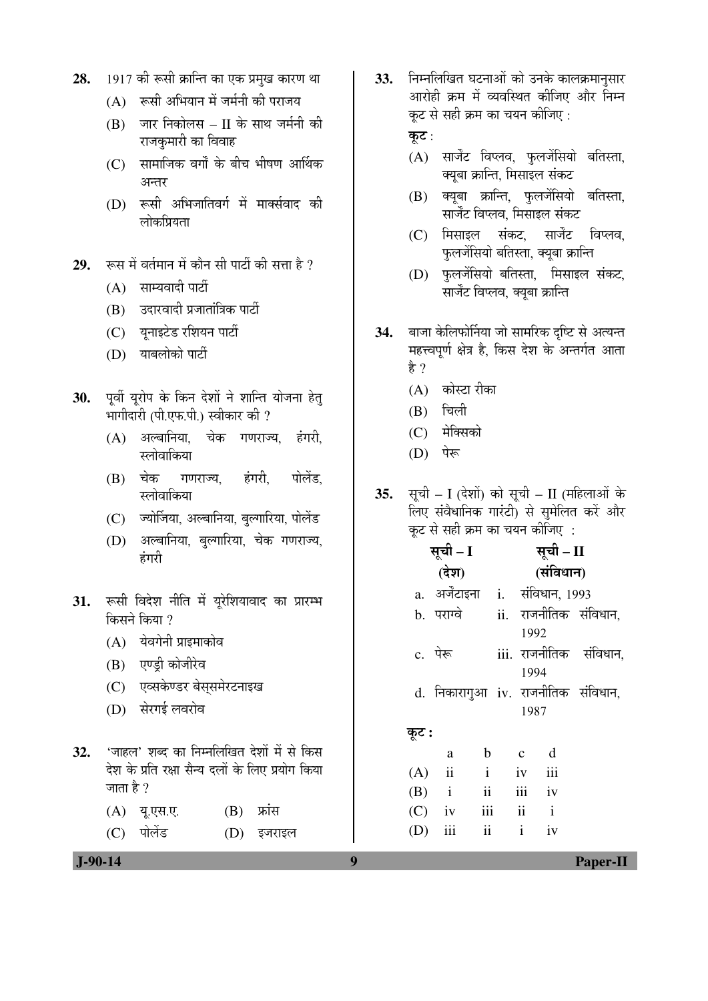- 28. 1917 की रूसी क्रान्ति का एक प्रमुख कारण था
	- $(A)$  रूसी अभियान में जर्मनी की पराजय
	- $(B)$  जार निकोलस II के साथ जर्मनी की राजकुमारी का विवाह
	- $(C)$  सामाजिक वर्गों के बीच भीषण आर्थिक अन्तर
	- (D) रूसी अभिजातिवर्ग में मार्क्सवाद की लोकप्रियता
- 29. रूस में वर्तमान में कौन सी पार्टी की सत्ता है ?
	- $(A)$  साम्यवादी पार्टी
	- $(B)$  उदारवादी प्रजातांत्रिक पार्टी
	- (C) यनाइटेड रशियन पार्टी
	- (D) याबलोको पार्टी
- 30. पूर्वी यूरोप के किन देशों ने शान्ति योजना हेत् भागीदारी (पी.एफ.पी.) स्वीकार की ?
	- $(A)$  अल्बानिया, चेक गणराज्य हंगरी स्लोवाकिया
	- (B) चेक गणराज्य, हंगरी, पोलेंड, स्लोवाकिया
	- (C) ज्योर्जिया, अल्बानिया, बल्गारिया, पोलेंड
	- (D) अल्बानिया, बल्गारिया, चेक गणराज्य, हंगरी
- 31. रूसी विदेश नीति में यूरेशियावाद का प्रारम्भ किसने किया  $\overline{v}$ 
	- $(A)$  येवगेनी प्राइमाकोव
	- (B) एण्ड्री कोजीरेव
	- (C) एव्सकेण्डर बेससमेरटनाइख
	- (D) सेरगई लवरोव
- **32.** 'जाहल' शब्द का निम्नलिखित देशों में से किस देश के प्रति रक्षा सैन्य दलों के लिए प्रयोग किया जाता है  $?$ 
	- $(A)$  यू.एस.ए.  $(B)$  फ्रांस
	- (C) पोलेंड (D) इजराइल

33. FEHR **MED** घटनाओं को उनके कालक्रमानसार आरोही क्रम में व्यवस्थित कीजिए और निम्न कट से सही क्रम का चयन कीजिए :

कुट $:$ 

- $(A)$  सार्जेंट विप्लव, फुलजेंसियो बतिस्ता, क्यूबा क्रान्ति, मिसाइल संकट
- (B) क्यूबा क्रान्ति, फुलजेंसियो बतिस्ता, सार्जेंट विप्लव, मिसाइल संकट
- (C) मिसाइल संकट, सार्जेंट विप्लव, <u>फ</u>लजेंसियो बतिस्ता, क्यूबा क्रान्ति
- (D) फुलजेंसियो बतिस्ता, मिसाइल संकट, सार्जेंट विप्लव, क्यूबा क्रान्ति
- 34. बाजा केलिफोर्निया जो सामरिक दृष्टि से अत्यन्त महत्त्वपूर्ण क्षेत्र है, किस देश के अन्तर्गत आता हे ?
	- $(A)$  कोस्टा रीका
	- $(B)$  चिली
	- $(C)$  मेक्सिको
	- (D) पेरू
- **35.** सूची I (देशों) को सूची II (महिलाओं के लिए संवैधानिक गारंटी) से सुमेलित करें और कूट से सही क्रम का चयन कीजिए :

|       | सूची – I                        |                         |              |              | सूची – II   |                                    |  |
|-------|---------------------------------|-------------------------|--------------|--------------|-------------|------------------------------------|--|
|       | (देश)                           |                         |              | (संविधान)    |             |                                    |  |
|       | a. अर्जेंटाइना i. संविधान, 1993 |                         |              |              |             |                                    |  |
|       | b. पराग्वे                      |                         |              |              |             | ii. राजनीतिक संविधान,              |  |
|       |                                 |                         |              | 1992         |             |                                    |  |
|       | c. पेरू                         |                         |              |              |             | iii. राजनीतिक संविधान,             |  |
|       |                                 |                         |              | 1994         |             |                                    |  |
|       |                                 |                         |              |              |             | d. निकारागुआ iv. राजनीतिक संविधान, |  |
|       |                                 |                         |              | 1987         |             |                                    |  |
| कूट : |                                 |                         |              |              |             |                                    |  |
|       | a                               | $\mathbf b$             | $\mathbf{c}$ |              | $\mathbf d$ |                                    |  |
|       | $(A)$ ii                        | $\mathbf{i}$            | iv           |              | iii         |                                    |  |
|       | $(B)$ i                         | $\overline{\mathbf{u}}$ |              | iii iv       |             |                                    |  |
|       | $(C)$ iv                        | $iii -$                 |              | $ii$ $i$     |             |                                    |  |
| (D)   | iii                             | $\overline{\mathbf{u}}$ |              | $\mathbf{i}$ | iv          |                                    |  |
|       |                                 |                         |              |              |             |                                    |  |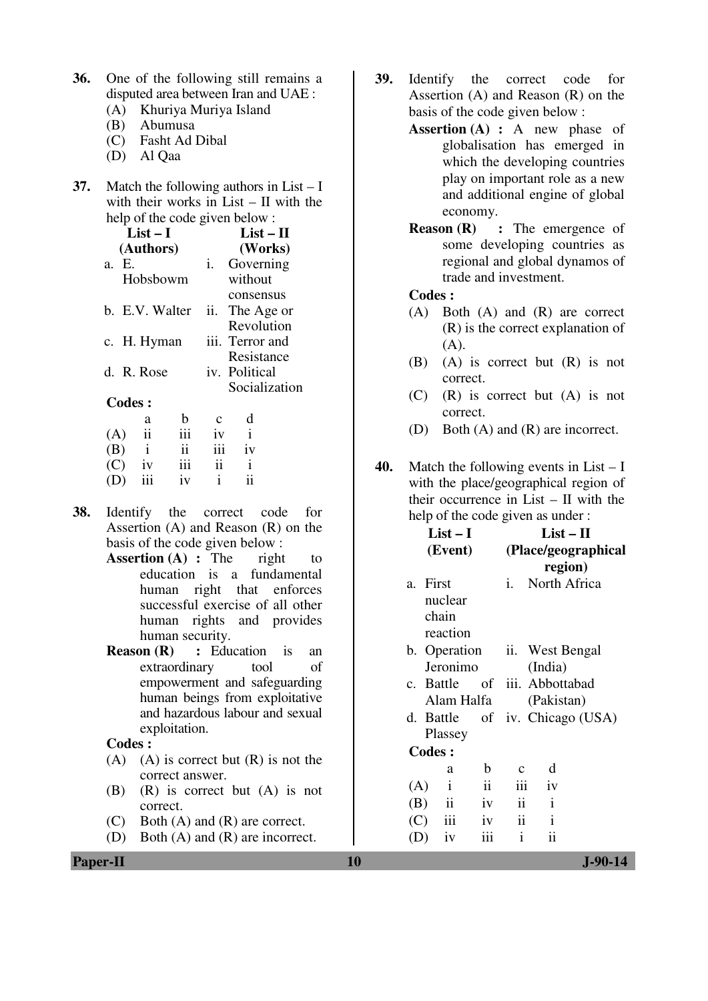- **36.** One of the following still remains a disputed area between Iran and UAE :
	- (A) Khuriya Muriya Island
	- (B) Abumusa
	- (C) Fasht Ad Dibal
	- (D) Al Qaa
- **37.** Match the following authors in List I with their works in List – II with the help of the code given below :

|               | List $-1$      |     |     | List – H        |
|---------------|----------------|-----|-----|-----------------|
|               | (Authors)      |     |     | (Works)         |
| a. E.         |                |     | i.  | Governing       |
|               | Hobsbowm       |     |     | without         |
|               |                |     |     | consensus       |
|               | b. E.V. Walter |     | ii. | The Age or      |
|               |                |     |     | Revolution      |
|               | c. H. Hyman    |     |     | iii. Terror and |
|               |                |     |     | Resistance      |
|               | d. R. Rose     |     |     | iv. Political   |
|               |                |     |     | Socialization   |
| <b>Codes:</b> |                |     |     |                 |
|               | a              | b   |     | d               |
| (A)           | ii             | iii | 1V  | $\mathbf{i}$    |
| (B)           | $\mathbf{i}$   | ii  | iii | iv              |
| (C)           | iv             | 111 | ii  | i               |
|               | iii            | iv  | i   | ii              |

- **38.** Identify the correct code for Assertion (A) and Reason (R) on the basis of the code given below :
	- **Assertion (A) :** The right to education is a fundamental human right that enforces successful exercise of all other human rights and provides human security.<br>Reason (R) : Edu
	- **:** Education is an extraordinary tool of empowerment and safeguarding human beings from exploitative and hazardous labour and sexual exploitation.

#### **Codes :**

- (A) (A) is correct but  $(R)$  is not the correct answer.
- (B) (R) is correct but (A) is not correct.
- (C) Both (A) and (R) are correct.
- (D) Both (A) and (R) are incorrect.
- **39.** Identify the correct code for Assertion (A) and Reason (R) on the basis of the code given below :
	- **Assertion (A) :** A new phase of globalisation has emerged in which the developing countries play on important role as a new and additional engine of global economy.
	- **Reason (R)** : The emergence of some developing countries as regional and global dynamos of trade and investment.

## **Codes :**

- (A) Both (A) and (R) are correct (R) is the correct explanation of (A).
- (B) (A) is correct but (R) is not correct.
- (C) (R) is correct but (A) is not correct.
- (D) Both (A) and (R) are incorrect.
- **40.** Match the following events in List I with the place/geographical region of their occurrence in List – II with the help of the code given as under :

| Assertion $(A)$ and Reason $(R)$ on the<br>basis of the code given below:<br><b>Assertion (A) : The</b><br>right<br>to<br>education is a fundamental                                        | $List-I$<br>$List - II$<br>(Event)<br>(Place/geographical<br>region)                                                                                               |  |
|---------------------------------------------------------------------------------------------------------------------------------------------------------------------------------------------|--------------------------------------------------------------------------------------------------------------------------------------------------------------------|--|
| human right that enforces<br>successful exercise of all other<br>human rights and provides<br>human security.                                                                               | i. North Africa<br>a. First<br>nuclear<br>chain<br>reaction                                                                                                        |  |
| <b>Reason (R)</b> : Education is<br>an<br>extraordinary<br>of<br>tool<br>empowerment and safeguarding<br>human beings from exploitative<br>and hazardous labour and sexual<br>exploitation. | b. Operation<br>ii. West Bengal<br>Jeronimo<br>(India)<br>of iii. Abbottabad<br>c. Battle<br>Alam Halfa<br>(Pakistan)<br>d. Battle of iv. Chicago (USA)<br>Plassey |  |
| Codes :<br>$(A)$ is correct but $(R)$ is not the<br>(A)                                                                                                                                     | <b>Codes:</b>                                                                                                                                                      |  |
| correct answer.                                                                                                                                                                             | b<br>d<br>$\mathbf{C}$<br>a                                                                                                                                        |  |
| (B)<br>$(R)$ is correct but $(A)$ is not<br>correct.                                                                                                                                        | $\mathbf{ii}$<br>iii<br>$\mathbf{i}$<br>iv<br>(A)<br>$\mathbf{i}$<br>$\mathbf{ii}$<br>$\mathbf{ii}$<br>iv<br>(B)                                                   |  |
| Both $(A)$ and $(R)$ are correct.<br>(C)<br>Both $(A)$ and $(R)$ are incorrect.<br>(D)                                                                                                      | $\mathbf{i}$<br>$\mathbf{ii}$<br>iii<br>(C)<br>iv<br>$\mathbf{ii}$<br>iii<br>$\mathbf{i}$<br>(D)<br>iv                                                             |  |
| <b>Paper-II</b>                                                                                                                                                                             | 10<br>$J-90-14$                                                                                                                                                    |  |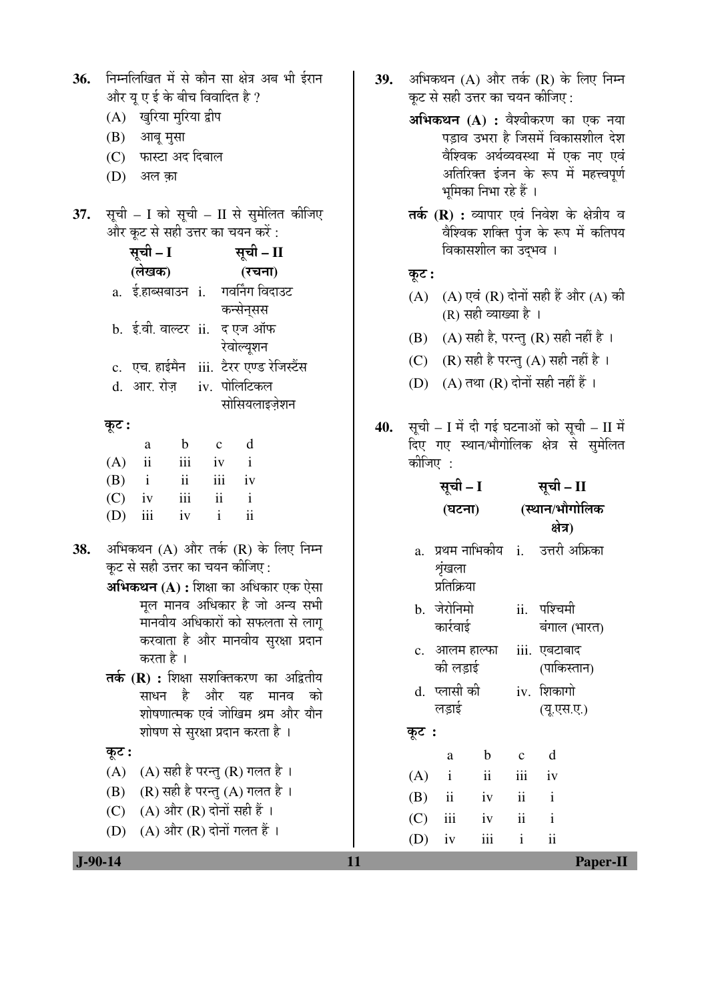| 36. | निम्नलिखित में से कौन सा क्षेत्र अब भी ईरान<br>और यू ए ई के बीच विवादित है ?                                             | 39. |              |                           |                       |                    | कूट से सही उत्तर का चयन कीजिए :                                                 | अभिकथन (A) और तर्क (R) के लिए निम्न                                                                         |
|-----|--------------------------------------------------------------------------------------------------------------------------|-----|--------------|---------------------------|-----------------------|--------------------|---------------------------------------------------------------------------------|-------------------------------------------------------------------------------------------------------------|
|     | (A) खुरिया मुरिया द्वीप<br>(B)<br>आबू मुसा<br>फास्टा अद दिबाल<br>(C)                                                     |     |              |                           |                       |                    |                                                                                 | अभिकथन (A) : वैश्वीकरण का एक नया<br>पड़ाव उभरा है जिसमें विकासशील देश<br>वैश्विक अर्थव्यवस्था में एक नए एवं |
|     | (D)<br>अल क़ा                                                                                                            |     |              |                           | भूमिका निभा रहे हैं । |                    |                                                                                 | अतिरिक्त इंजन के रूप में महत्त्वपूर्ण                                                                       |
| 37. | सूची – I को सूची – II से सुमेलित कीजिए<br>और कूट से सही उत्तर का चयन करें :<br>सूची – I<br>सूची – II<br>(लेखक)<br>(रचना) |     |              |                           | विकासशील का उद्भव ।   |                    |                                                                                 | <b>तर्क (R) :</b> व्यापार एवं निवेश के क्षेत्रीय व<br>वैश्विक शक्ति पुंज के रूप में कतिपय                   |
|     | a. ई.हाब्सबाउन i. गवर्निंग विदाउट<br>कन्सेनसस                                                                            |     | कूट :<br>(A) |                           | (R) सही व्याख्या है । |                    |                                                                                 | $(A)$ एवं $(R)$ दोनों सही हैं और $(A)$ की                                                                   |
|     | b. ई.वी. वाल्टर ii. द एज ऑफ<br>रेवोल्यूशन                                                                                |     | (B)          |                           |                       |                    | (A) सही है, परन्तु (R) सही नहीं है ।                                            |                                                                                                             |
|     | c. एच. हाईमैन iii. टैरर एण्ड रेजिस्टैंस<br>iv. पोलिटिकल<br>d. आर. रोज़<br>सोसियलाइज़ेशन                                  |     | (C)<br>(D)   |                           |                       |                    | $(R)$ सही है परन्तु $(A)$ सही नहीं है ।<br>$(A)$ तथा $(R)$ दोनों सही नहीं हैं । |                                                                                                             |
|     | कूट :<br>d<br>$\mathbf b$<br>$\mathbf c$<br>a<br>$\mathbf{i}$<br>(A)<br>$\rm ii$<br>iii<br>iv                            |     | कोजिए :      |                           |                       |                    |                                                                                 | 40. सूची – I में दी गई घटनाओं को सूची – II में<br>दिए गए स्थान/भौगोलिक क्षेत्र से सुमेलित                   |
|     | $\mathbf{ii}$<br>(B)<br>iii<br>iv<br>$\mathbf{i}$                                                                        |     |              | सूची – I                  |                       |                    | सूची – II                                                                       |                                                                                                             |
|     | iii<br>$\mathbf{ii}$<br>(C)<br>$\mathbf{i}$<br>iv<br>$\overline{\mathbf{i}}$<br>iii<br>(D)<br>iv<br>$\mathbf{i}$         |     |              | (घटना)                    |                       |                    | (स्थान/भौगोलिक<br>क्षेत्र)                                                      |                                                                                                             |
| 38. | अभिकथन (A) और तर्क (R) के लिए निम्न<br>कूट से सही उत्तर का चयन कीजिए :<br>अभिकथन (A) : शिक्षा का अधिकार एक ऐसा           |     | a.           | शृंखला<br>प्रतिक्रिया     |                       |                    | प्रथम नाभिकीय   i.    उत्तरी अफ्रिका                                            |                                                                                                             |
|     | मूल मानव अधिकार है जो अन्य सभी<br>मानवीय अधिकारों को सफलता से लागू                                                       |     |              | b. जेरोनिमो<br>कार्रवाई   |                       | ii.                | पश्चिमी<br>बंगाल (भारत)                                                         |                                                                                                             |
|     | करवाता है और मानवीय सुरक्षा प्रदान<br>करता है ।<br>तर्क (R) : शिक्षा सशक्तिकरण का अद्वितीय                               |     |              | c. आलम हाल्फा<br>की लड़ाई |                       |                    | iii. एबटाबाद<br>(पाकिस्तान)                                                     |                                                                                                             |
|     | और यह मानव<br>साधन है<br>को<br>शोषणात्मक एवं जोखिम श्रम और यौन                                                           |     |              | d. प्लासी की<br>लड़ाई     |                       |                    | iv. शिकागो<br>(यू.एस.ए.)                                                        |                                                                                                             |
|     | शोषण से सुरक्षा प्रदान करता है ।                                                                                         |     | कूट :        |                           |                       |                    |                                                                                 |                                                                                                             |
|     | कूट :                                                                                                                    |     |              | a                         | $\mathbf b$           | $\mathbf C$        | d                                                                               |                                                                                                             |
|     | (A) सही है परन्तु (R) गलत है ।<br>(A)<br>$(R)$ सही है परन्तु $(A)$ गलत है ।<br>(B)                                       |     | (A)          | $\mathbf{i}$              | $\ddot{\rm n}$        | iii                | iv                                                                              |                                                                                                             |
|     | $(A)$ और $(R)$ दोनों सही हैं ।<br>(C)                                                                                    |     | (B)          | $\mathbf{ii}$             | iv                    | ii                 | $\mathbf{i}$                                                                    |                                                                                                             |
|     | $(A)$ और $(R)$ दोनों गलत हैं।<br>(D)                                                                                     |     | (C)<br>(D)   | iii<br>iv                 | iv<br>iii             | ii<br>$\mathbf{i}$ | $\mathbf{i}$<br>ii                                                              |                                                                                                             |
|     | $J-90-14$                                                                                                                | 11  |              |                           |                       |                    |                                                                                 | <b>Paper-II</b>                                                                                             |
|     |                                                                                                                          |     |              |                           |                       |                    |                                                                                 |                                                                                                             |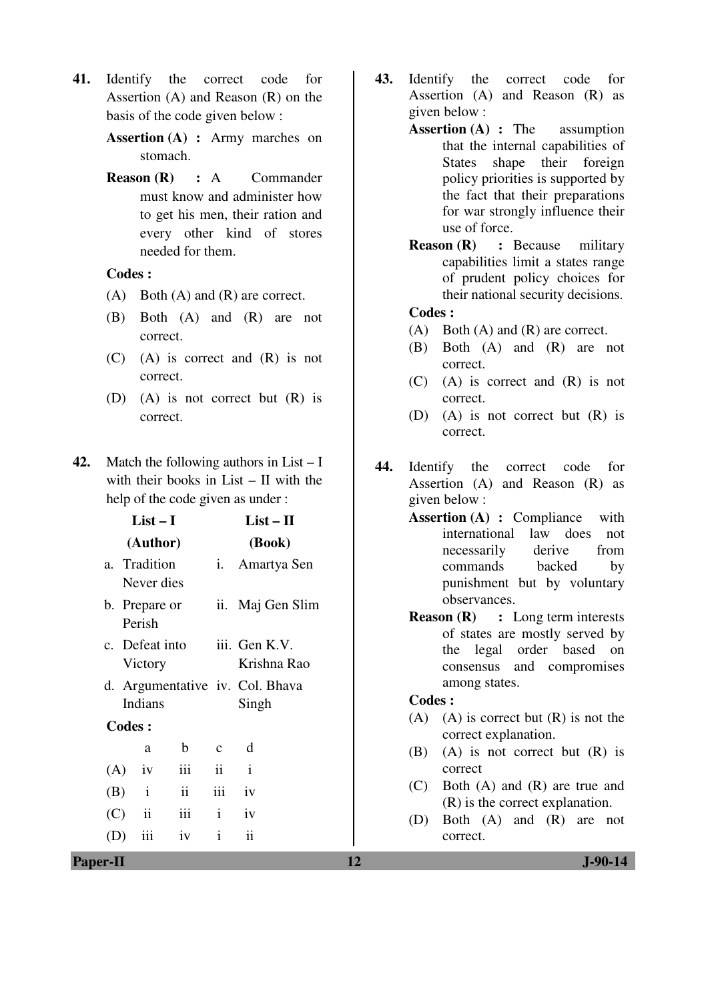**41.** Identify the correct code for Assertion (A) and Reason (R) on the basis of the code given below :

> **Assertion (A) :** Army marches on stomach.

> **Reason (R) :** A Commander must know and administer how to get his men, their ration and every other kind of stores needed for them.

#### **Codes :**

- (A) Both (A) and (R) are correct.
- (B) Both (A) and (R) are not correct.
- (C) (A) is correct and (R) is not correct.
- (D) (A) is not correct but (R) is correct.
- **42.** Match the following authors in List I with their books in List – II with the help of the code given as under :

|     |               | $List-I$                   | $List-II$      |                     |                                 |
|-----|---------------|----------------------------|----------------|---------------------|---------------------------------|
|     |               | (Author)                   | (Book)         |                     |                                 |
|     |               | a. Tradition<br>Never dies |                | i.                  | Amartya Sen                     |
|     |               | b. Prepare or<br>Perish    |                |                     | ii. Maj Gen Slim                |
|     |               |                            | c. Defeat into |                     | iii. Gen K.V.                   |
|     |               | Victory                    |                |                     | Krishna Rao                     |
|     |               |                            |                |                     | d. Argumentative iv. Col. Bhava |
|     |               | Indians                    |                |                     | Singh                           |
|     | <b>Codes:</b> |                            |                |                     |                                 |
|     |               | a                          | $\mathbf b$    | $\mathbf c$         | d                               |
| (A) |               | iv                         | iii            | $\ddot{\mathbf{i}}$ | $\mathbf{i}$                    |
|     | $(B)$ i       |                            | ii             | iii                 | iv                              |
|     | (C)           | $\mathbf{ii}$              | iii            | $\mathbf{i}$        | iv                              |
| (D) |               | iii                        | iv             | $\mathbf{i}$        | ii                              |
|     |               |                            |                |                     |                                 |

- **43.** Identify the correct code for Assertion (A) and Reason (R) as given below :
	- **Assertion (A) :** The assumption that the internal capabilities of States shape their foreign policy priorities is supported by the fact that their preparations for war strongly influence their use of force.
		- **Reason (R) :** Because military capabilities limit a states range of prudent policy choices for their national security decisions.

## **Codes :**

- (A) Both (A) and (R) are correct.
- (B) Both (A) and (R) are not correct.
- (C) (A) is correct and (R) is not correct.
- (D) (A) is not correct but (R) is correct.
- **44.** Identify the correct code for Assertion (A) and Reason (R) as given below :
	- **Assertion (A) :** Compliance with international law does not necessarily derive from commands backed by punishment but by voluntary observances.
		- **Reason (R) :** Long term interests of states are mostly served by the legal order based on consensus and compromises among states.

#### **Codes :**

- $(A)$  (A) is correct but  $(R)$  is not the correct explanation.
- (B) (A) is not correct but (R) is correct
- (C) Both (A) and (R) are true and (R) is the correct explanation.
- (D) Both (A) and (R) are not correct.

**Paper-II** J-90-14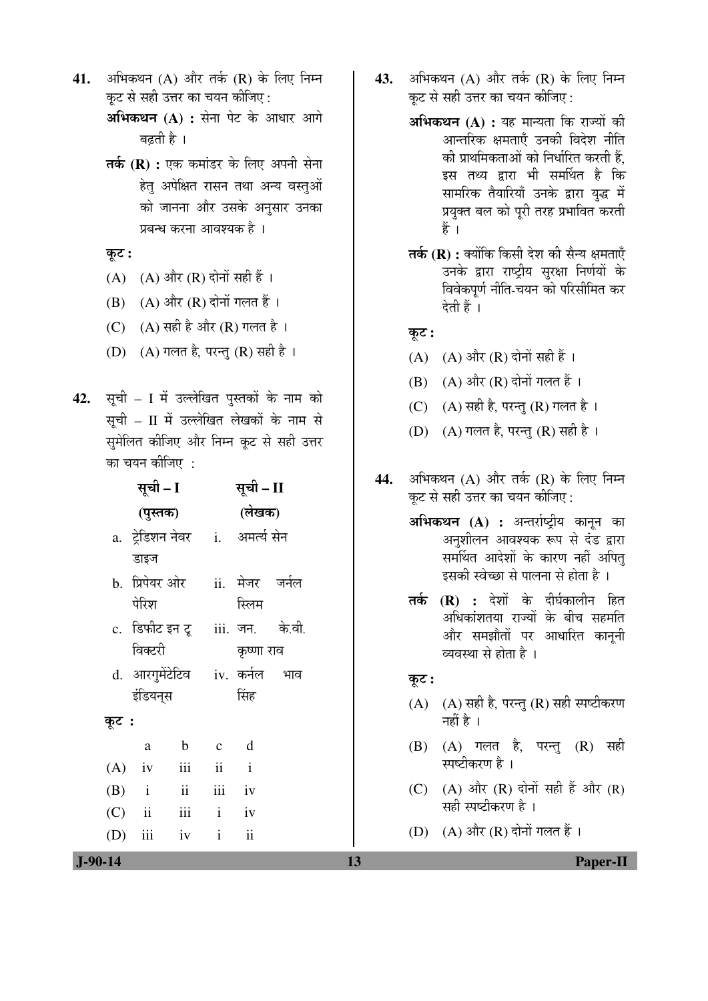- **41.** अभिकथन (A) और तर्क (R) के लिए निम्न कट से सही उत्तर का चयन कीजिए :
	- **अभिकथन (A) :** सेना पेट के आधार आगे बढती है ।
	- **तर्क (R) :** एक कमांडर के लिए अपनी सेना हेतु अपेक्षित रासन तथा अन्य वस्तुओं को जानना और उसके अनुसार उनका प्रबन्ध करना आवश्यक है ।
	- कूट :
	- (A)  $(A)$  और  $(R)$  दोनों सही हैं।
	- $(B)$   $(A)$  और  $(R)$  दोनों गलत हैं।
	- (C)  $(A)$  सही है और  $(R)$  गलत है।
	- (D)  $(A)$  गलत है, परन्तु (R) सही है।
- 42. सूची I में उल्लेखित पुस्तकों के नाम को सूची – II में उल्लेखित लेखकों के नाम से सुमेलित कीजिए और निम्न कूट से सही उत्तर का चयन कीजिए $\,$  :

|       | सूची – I                                 |             |              | सूची – II       |  |  |
|-------|------------------------------------------|-------------|--------------|-----------------|--|--|
|       | (पुस्तक)                                 |             |              | (लेखक)          |  |  |
|       | a. ट्रेडिशन नेवर    i.    अमर्त्य सेन    |             |              |                 |  |  |
|       | डाइज                                     |             |              |                 |  |  |
|       | b. प्रिपेयर ओर                           |             |              | ii. मेजर जर्नल  |  |  |
|       | पेरिश                                    |             |              | स्लिम           |  |  |
|       | c. डिफीट इन टू     iii.  जन.      के.वी. |             |              |                 |  |  |
|       | विक्टरी                                  |             |              | कृष्णा राव      |  |  |
|       | d. आरगुमेंटेटिव  iv. कर्नल  भाव          |             |              |                 |  |  |
|       | इंडियन्स                                 |             |              | सिंह            |  |  |
| कूट : |                                          |             |              |                 |  |  |
|       | a                                        | $\mathbf b$ | $\mathbf{C}$ | $\mathbf d$     |  |  |
|       | $(A)$ iv                                 | iii         | ii i         |                 |  |  |
|       | $(B)$ i ii iii iv                        |             |              |                 |  |  |
|       | $(C)$ ii iii i iv                        |             |              |                 |  |  |
|       | $(D)$ iii                                | $iv$ $i$    |              | $\ddot{\rm ii}$ |  |  |

- **43.** अभिकथन (A) और तर्क (R) के लिए निम्न कट से सही उत्तर का चयन कीजिए :
	- **अभिकथन (A) :** यह मान्यता कि राज्यों की आन्तरिक क्षमताएँ उनकी विदेश नीति की प्राथमिकताओं को निर्धारित करती हैं. इस तथ्य द्वारा भी समर्थित है कि सामरिक तैयारियाँ उनके द्वारा युद्ध में प्रयुक्त बल को पूरी तरह प्रभावित करती हैं ।
	- **तर्क (R) :** क्योंकि किसी देश की सैन्य क्षमताएँ उनके द्वारा राष्ट्रीय सुरक्षा निर्णयों के विवेकपूर्ण नीति-चयन को परिसीमित कर देती हैं ।
	- कट:
	- (A)  $(A)$  और  $(R)$  दोनों सही हैं।
	- $(B)$   $(A)$  और  $(R)$  दोनों गलत हैं।
	- (C)  $(A)$  सही है, परन्तु (R) गलत है।
	- (D)  $(A)$  गलत है, परन्तु (R) सही है।
- **44.** अभिकथन (A) और तर्क (R) के लिए निम्न कट से सही उत्तर का चयन कीजिए :
	- **अभिकथन (A) :** अन्तर्राष्ट्रीय कानून का अनशीलन आवश्यक रूप से दंड द्वारा समर्थित आदेशों के कारण नहीं अपित इसकी स्वेच्छा से पालना से होता है ।
	- **तर्क (R) :** देशों के दीर्घकालीन हित अधिकांशतया राज्यों के बीच सहमति और समझौतों पर आधारित काननी व्यवस्था से होता है ।

## Ûæú™ü **:**

- $(A)$   $(A)$  सही है, परन्तु $(R)$  सही स्पष्टीकरण नहीं है $\perp$
- (B) (A) गलत है, परन्तु (R) सही स्पष्टीकरण है ।
- (C)  $(A)$  और  $(R)$  दोनों सही हैं और  $(R)$ सही स्पष्टीकरण है ।
- (D)  $(A)$  और  $(R)$  दोनों गलत हैं।

 **J-90-14 13 Paper-II**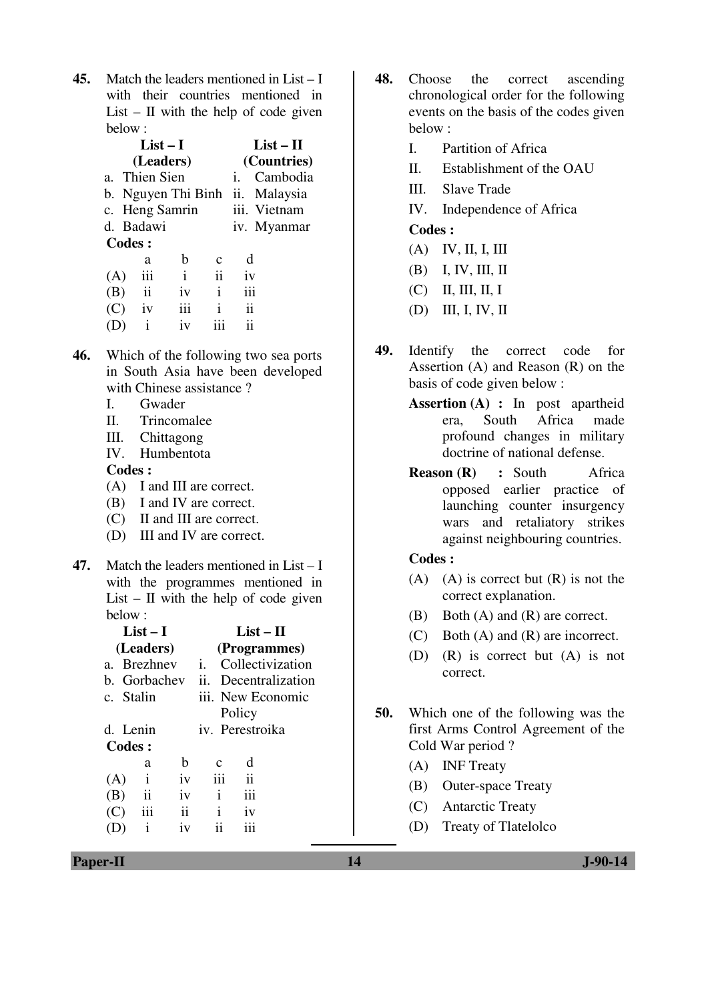**45.** Match the leaders mentioned in List – I with their countries mentioned in List –  $II$  with the help of code given below :

|     | $List-I$                |     |                |                     | $List-II$                       |
|-----|-------------------------|-----|----------------|---------------------|---------------------------------|
|     | (Leaders)               |     |                |                     | (Countries)                     |
|     | a. Thien Sien           |     |                | Ĺ.                  | Cambodia                        |
|     |                         |     |                |                     | b. Nguyen Thi Binh ii. Malaysia |
|     | c. Heng Samrin          |     |                |                     | iii. Vietnam                    |
|     | d. Badawi               |     |                |                     | iv. Myanmar                     |
|     | <b>Codes:</b>           |     |                |                     |                                 |
|     | a                       | b   | C              | d                   |                                 |
| (A) | iii                     | i   | $\ddot{\rm n}$ | iv                  |                                 |
| (B) | $\overline{\mathbf{u}}$ | iv  | i              | iii                 |                                 |
| (C) | iv                      | iii | i              | $\ddot{\mathbf{i}}$ |                                 |
|     | i                       | 1V  |                | ij                  |                                 |

- **46.** Which of the following two sea ports in South Asia have been developed with Chinese assistance ?
	- I. Gwader
	- II. Trincomalee
	- III. Chittagong
	- IV. Humbentota

#### **Codes :**

- (A) I and III are correct.
- (B) I and IV are correct.
- (C) II and III are correct.
- (D) III and IV are correct.
- **47.** Match the leaders mentioned in List I with the programmes mentioned in List – II with the help of code given below :

|              |                      | $List-II$                             |  |  |  |
|--------------|----------------------|---------------------------------------|--|--|--|
|              | (Programmes)         |                                       |  |  |  |
|              | Collectivization     |                                       |  |  |  |
| b. Gorbachev | ii. Decentralization |                                       |  |  |  |
|              | iii. New Economic    |                                       |  |  |  |
|              |                      |                                       |  |  |  |
|              | iv. Perestroika      |                                       |  |  |  |
| Codes:       |                      |                                       |  |  |  |
| h            | с                    | d                                     |  |  |  |
| iv           |                      | $\mathbf{ii}$                         |  |  |  |
| iv           | i                    | iii                                   |  |  |  |
| ii           | i                    | iv                                    |  |  |  |
| 1V           |                      |                                       |  |  |  |
|              |                      | $\mathbf{i}$ .<br>Policy<br>iii<br>11 |  |  |  |

- **48.** Choose the correct ascending chronological order for the following events on the basis of the codes given below :
	- I. Partition of Africa
	- II. Establishment of the OAU
	- III. Slave Trade
	- IV. Independence of Africa

## **Codes :**

- (A) IV, II, I, III
- (B) I, IV, III, II
- (C) II, III, II, I
- (D) III, I, IV, II
- **49.** Identify the correct code for Assertion (A) and Reason (R) on the basis of code given below :
	- **Assertion (A) :** In post apartheid era, South Africa made profound changes in military doctrine of national defense.
	- **Reason (R) : South Africa** opposed earlier practice of launching counter insurgency wars and retaliatory strikes against neighbouring countries.

## **Codes :**

- $(A)$  (A) is correct but  $(R)$  is not the correct explanation.
- (B) Both (A) and (R) are correct.
- (C) Both (A) and (R) are incorrect.
- (D) (R) is correct but (A) is not correct.
- **50.** Which one of the following was the first Arms Control Agreement of the Cold War period ?
	- (A) INF Treaty
	- (B) Outer-space Treaty
	- (C) Antarctic Treaty
	- (D) Treaty of Tlatelolco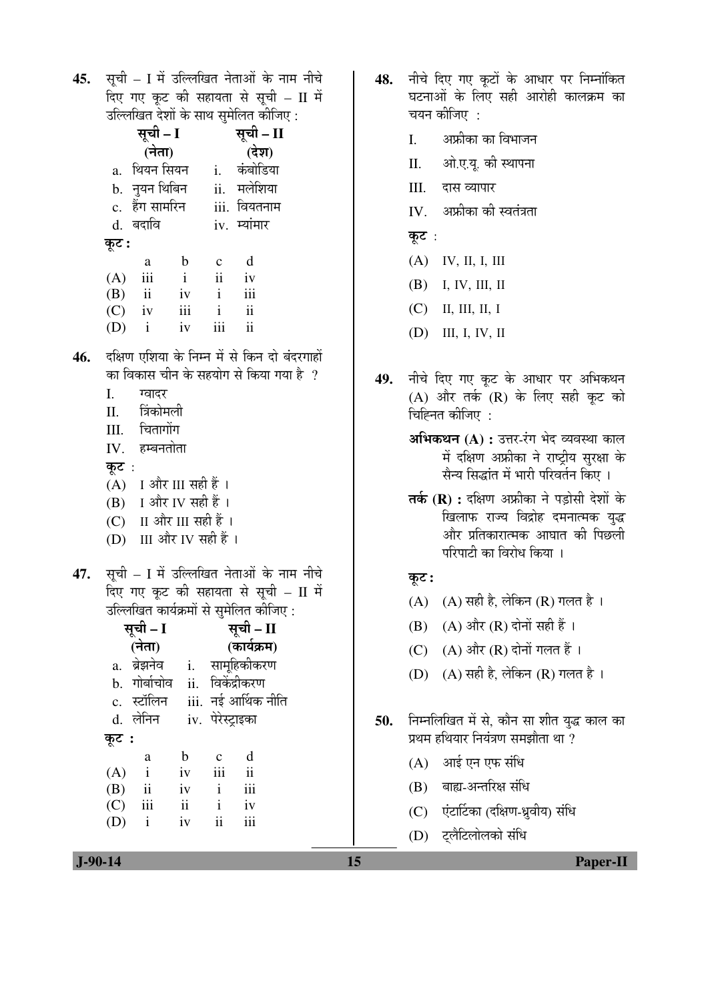45. सूची – I में उल्लिखित नेताओं के नाम नीचे दिए गए कूट की सहायता से सूची – II में उल्लिखित देशों के साथ सुमेलित कोजिए :

| सूची – II    |
|--------------|
| (देश)        |
| कंबोडिया     |
| ii. मलेशिया  |
| iii. वियतनाम |
| iv. म्यांमार |
|              |
|              |
|              |
|              |
|              |
|              |
|              |

- 46. दक्षिण एशिया के निम्न में से किन दो बंदरगाहों का विकास चीन के सहयोग से किया गया है  $\,$  ?
	- I. ग्वादर
	- II. त्रिंकोमली
	- III. चितागोंग
	- $IV.$  हम्बनतोता
	- कुट $:$
	- $(A)$  I और III सही हैं।
	- $(B)$  I और IV सही हैं।
	- (C) II और III सही हैं।
	- (D) III और IV सही हैं।
- 47. सूची I में उल्लिखित नेताओं के नाम नीचे दिए गए कुट की सहायता से सूची – II में उल्लिखित कार्यक्रमों से समेलित कीजिए :

|                | सूची – I     | सूची – II                |                   |                      |  |
|----------------|--------------|--------------------------|-------------------|----------------------|--|
| (नेता)         |              |                          | (कार्यक्रम)       |                      |  |
|                | a. ब्रेझनेव  | $\mathbf{i}$ .           |                   | सामूहिकीकरण          |  |
| $\mathbf{b}$ . | गोर्बाचोव    | ii.                      |                   | विकेंद्रीकरण         |  |
|                | c. स्टॉलिन   |                          |                   | iii.  नई आर्थिक नीति |  |
|                | d. लेनिन     |                          | iv. पेरेस्ट्राइका |                      |  |
| कूट :          |              |                          |                   |                      |  |
|                | a            | b                        | $\mathbf c$       | d                    |  |
| (A)            | $\mathbf{i}$ | iv                       | iii               | $\mathbf{ii}$        |  |
| (B)            | ii           | iv                       | $\mathbf{i}$      | iii                  |  |
| (C)            | $\rm iii$    | $\overline{\mathbf{ii}}$ | $\mathbf{i}$      | iv                   |  |
| (D)            | $\mathbf{i}$ | iv                       | ij                | iii                  |  |
|                |              |                          |                   |                      |  |

- 48. नीचे दिए गए कुटों के आधार पर निम्नांकित घटनाओं के लिए सही आरोही कालक्रम का चयन कीजिए $\,$  :
	- I. अफ्रीका का विभाजन
	- II. ओ.ए.य. की स्थापना
	- III. दास व्यापार
	- $IV$  । अफ्रीका की स्वतंत्रता
	- कूट $:$
	- (A) IV, II, I, III
	- (B) I, IV, III, II
	- (C) II, III, II, I
	- (D) III, I, IV, II
- 49. नीचे दिए गए कूट के आधार पर अभिकथन  $(A)$  और तर्क  $(R)$  के लिए सही कूट को चिह्नित कीजिए $\,$  :
	- **अभिकथन (A) :** उत्तर-रंग भेद व्यवस्था काल में दक्षिण अफ्रीका ने राष्ट्रीय सुरक्षा के सैन्य सिद्धांत में भारी परिवर्तन किए ।
	- **तर्क (R) :** दक्षिण अफ्रीका ने पड़ोसी देशों के खिलाफ राज्य विद्रोह दमनात्मक युद्ध और प्रतिकारात्मक आघात की पिछली परिपाटी का विरोध किया ।

## कूट :

- $(A)$   $(A)$  सही है, लेकिन  $(R)$  गलत है।
- $(B)$   $(A)$  और  $(R)$  दोनों सही हैं ।
- $(C)$   $(A)$  और  $(R)$  दोनों गलत हैं।
- (D) (A) सही है, लेकिन (R) गलत है।
- **50.** निम्नलिखित में से, कौन सा शीत युद्ध काल का प्रथम हथियार नियंत्रण समझौता था $\,$ ?
	- $(A)$  आई एन एफ संधि
	- $(B)$  बाह्य-अन्तरिक्ष संधि
	- (C) एंटार्टिका (दक्षिण-ध्रुवीय) संधि
	- (D) ट्लैटिलोलको संधि

 **J-90-14 15 Paper-II**